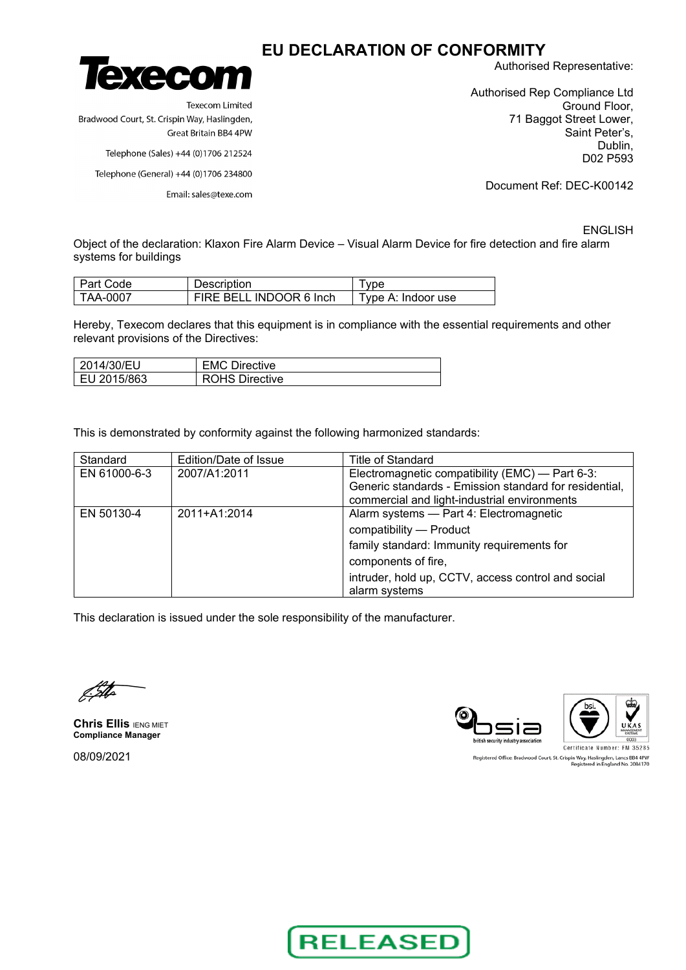

**Texecom Limited** Bradwood Court, St. Crispin Way, Haslingden, Great Britain BB4 4PW

Telephone (Sales) +44 (0)1706 212524

Telephone (General) +44 (0)1706 234800

Email: sales@texe.com

Authorised Representative:

Authorised Rep Compliance Ltd Ground Floor, 71 Baggot Street Lower, Saint Peter's, Dublin, D02 P593

Document Ref: DEC-K00142

ENGLISH

Object of the declaration: Klaxon Fire Alarm Device – Visual Alarm Device for fire detection and fire alarm systems for buildings

| Part Code | <b>Description</b>      | I vpe              |
|-----------|-------------------------|--------------------|
| TAA-0007  | FIRE BELL INDOOR 6 Inch | Type A: Indoor use |

Hereby, Texecom declares that this equipment is in compliance with the essential requirements and other relevant provisions of the Directives:

| 2014/30/EU    | <b>EMC Directive</b>  |
|---------------|-----------------------|
| I EU 2015/863 | <b>ROHS Directive</b> |

This is demonstrated by conformity against the following harmonized standards:

| Standard     | Edition/Date of Issue | Title of Standard                                                                                                                                                                                              |
|--------------|-----------------------|----------------------------------------------------------------------------------------------------------------------------------------------------------------------------------------------------------------|
| EN 61000-6-3 | 2007/A1:2011          | Electromagnetic compatibility (EMC) — Part 6-3:<br>Generic standards - Emission standard for residential,<br>commercial and light-industrial environments                                                      |
| EN 50130-4   | 2011+A1:2014          | Alarm systems - Part 4: Electromagnetic<br>compatibility - Product<br>family standard: Immunity requirements for<br>components of fire,<br>intruder, hold up, CCTV, access control and social<br>alarm systems |

This declaration is issued under the sole responsibility of the manufacturer.

**Chris Ellis IENG MIET Compliance Manager**

08/09/2021



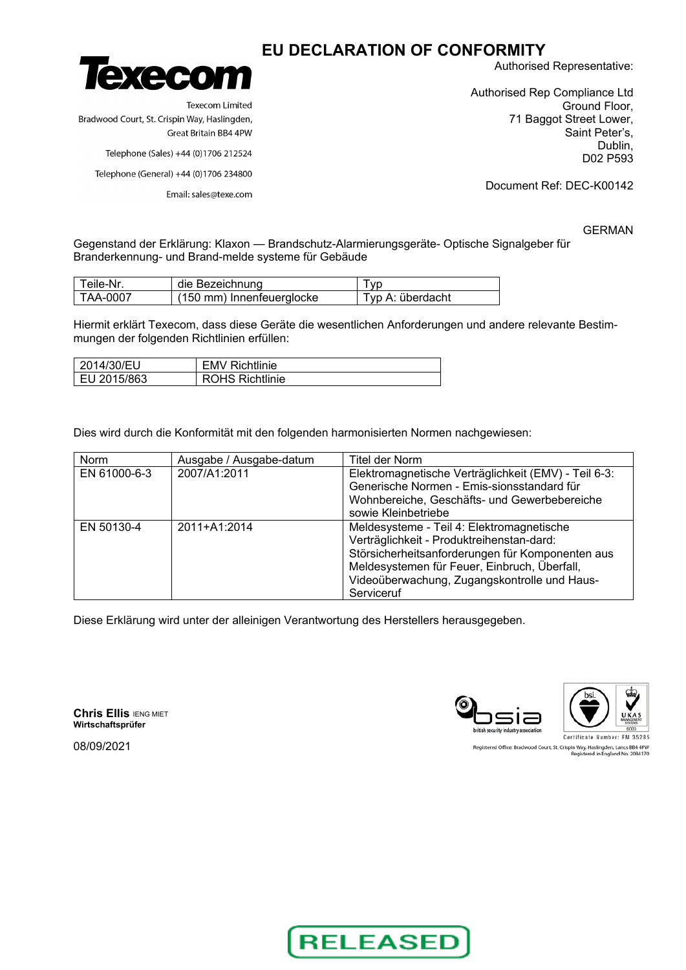

Bradwood Court, St. Crispin Way, Haslingden,

Authorised Representative:

Authorised Rep Compliance Ltd Ground Floor, 71 Baggot Street Lower, Saint Peter's, Dublin, D02 P593

Telephone (Sales) +44 (0)1706 212524

Telephone (General) +44 (0)1706 234800

Email: sales@texe.com

Great Britain BB4 4PW

**Texecom Limited** 

Document Ref: DEC-K00142

GERMAN

Gegenstand der Erklärung: Klaxon — Brandschutz-Alarmierungsgeräte- Optische Signalgeber für Branderkennung- und Brand-melde systeme für Gebäude

| Teile-Nr. | die Bezeichnung                     | l vp             |
|-----------|-------------------------------------|------------------|
| TAA-0007  | $(150 \text{ mm})$ Innenfeuerglocke | Tvp A: überdacht |

Hiermit erklärt Texecom, dass diese Geräte die wesentlichen Anforderungen und andere relevante Bestimmungen der folgenden Richtlinien erfüllen:

| 2014/30/EU  | <b>EMV Richtlinie</b>  |
|-------------|------------------------|
| EU 2015/863 | <b>ROHS Richtlinie</b> |

Dies wird durch die Konformität mit den folgenden harmonisierten Normen nachgewiesen:

| Norm         | Ausgabe / Ausgabe-datum | Titel der Norm                                                                                                                                                                                                                                           |
|--------------|-------------------------|----------------------------------------------------------------------------------------------------------------------------------------------------------------------------------------------------------------------------------------------------------|
| EN 61000-6-3 | 2007/A1:2011            | Elektromagnetische Verträglichkeit (EMV) - Teil 6-3:<br>Generische Normen - Emis-sionsstandard für<br>Wohnbereiche, Geschäfts- und Gewerbebereiche<br>sowie Kleinbetriebe                                                                                |
| EN 50130-4   | 2011+A1:2014            | Meldesysteme - Teil 4: Elektromagnetische<br>Verträglichkeit - Produktreihenstan-dard:<br>Störsicherheitsanforderungen für Komponenten aus<br>Meldesystemen für Feuer, Einbruch, Überfall,<br>Videoüberwachung, Zugangskontrolle und Haus-<br>Serviceruf |

Diese Erklärung wird unter der alleinigen Verantwortung des Herstellers herausgegeben.

**Chris Ellis IENG MIET Wirtschaftsprüfer**



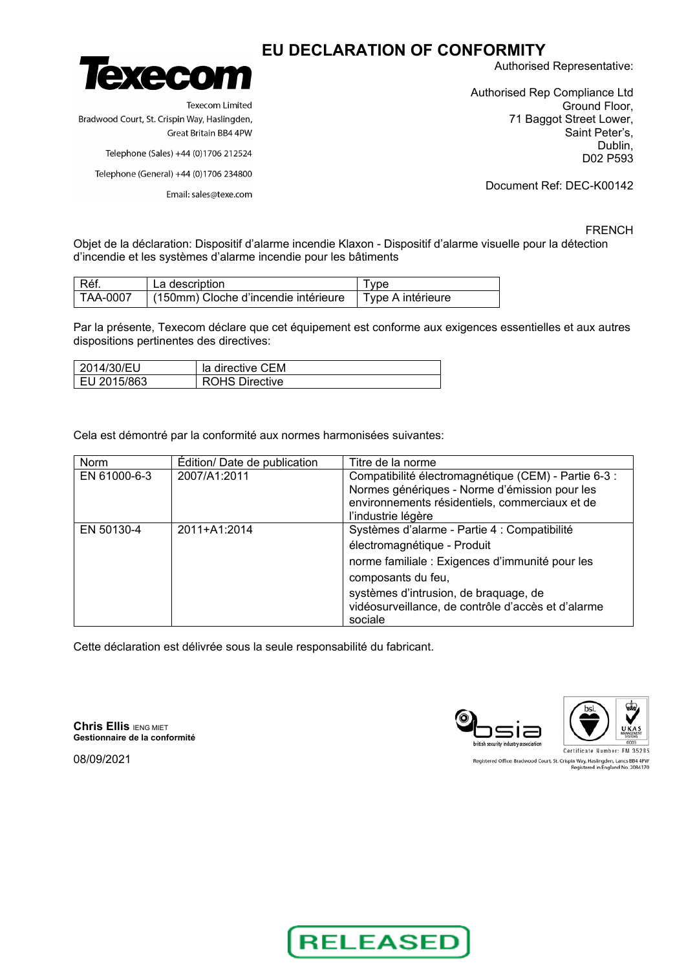

**Texecom Limited** Bradwood Court, St. Crispin Way, Haslingden, Great Britain BB4 4PW

Telephone (Sales) +44 (0)1706 212524

Telephone (General) +44 (0)1706 234800

Email: sales@texe.com

Authorised Representative:

Authorised Rep Compliance Ltd Ground Floor, 71 Baggot Street Lower, Saint Peter's, Dublin, D02 P593

Document Ref: DEC-K00142

### FRENCH

Objet de la déclaration: Dispositif d'alarme incendie Klaxon - Dispositif d'alarme visuelle pour la détection d'incendie et les systèmes d'alarme incendie pour les bâtiments

| Réf.     | La description                                           | I vpe |
|----------|----------------------------------------------------------|-------|
| TAA-0007 | (150mm) Cloche d'incendie intérieure   Type A intérieure |       |

Par la présente, Texecom déclare que cet équipement est conforme aux exigences essentielles et aux autres dispositions pertinentes des directives:

| 2014/30/EU  | la directive CEM      |
|-------------|-----------------------|
| EU 2015/863 | <b>ROHS Directive</b> |

Cela est démontré par la conformité aux normes harmonisées suivantes:

| Norm         | Édition/ Date de publication | Titre de la norme                                    |
|--------------|------------------------------|------------------------------------------------------|
| EN 61000-6-3 | 2007/A1:2011                 | Compatibilité électromagnétique (CEM) - Partie 6-3 : |
|              |                              | Normes génériques - Norme d'émission pour les        |
|              |                              | environnements résidentiels, commerciaux et de       |
|              |                              | l'industrie légère                                   |
| EN 50130-4   | 2011+A1:2014                 | Systèmes d'alarme - Partie 4 : Compatibilité         |
|              |                              | électromagnétique - Produit                          |
|              |                              | norme familiale : Exigences d'immunité pour les      |
|              |                              | composants du feu,                                   |
|              |                              | systèmes d'intrusion, de braquage, de                |
|              |                              | vidéosurveillance, de contrôle d'accès et d'alarme   |
|              |                              | sociale                                              |

Cette déclaration est délivrée sous la seule responsabilité du fabricant.

**Chris Ellis IENG MIET Gestionnaire de la conformité**



Registered Office: Bradwood Court, St. Crispin Way, Haslingden, Lancs BB4 4PW<br>Registered in England No. 2084170

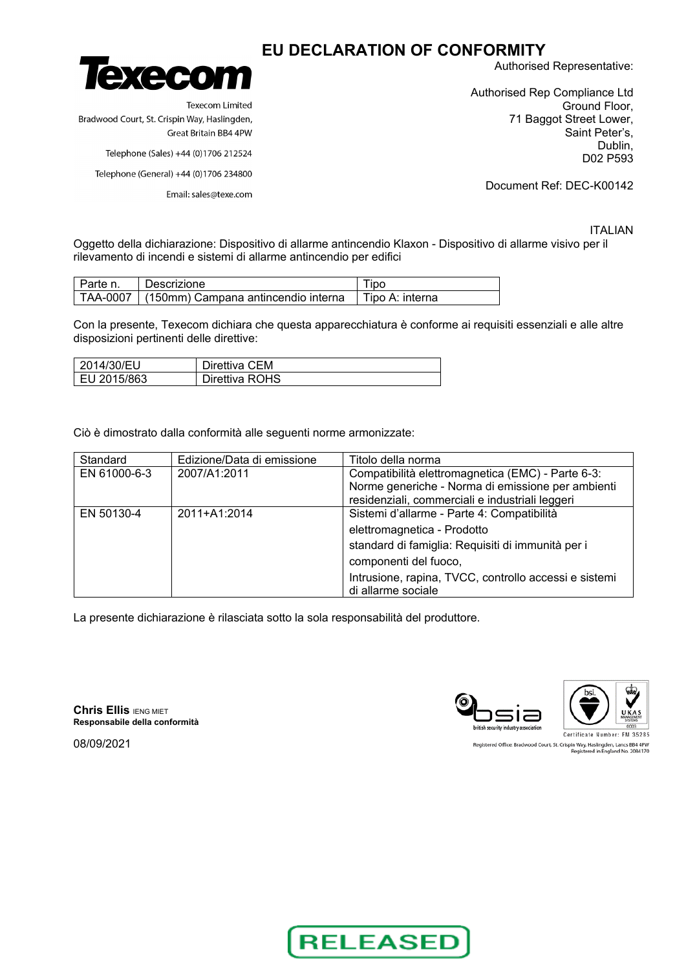

**Texecom Limited** Bradwood Court, St. Crispin Way, Haslingden, Great Britain BB4 4PW

Telephone (Sales) +44 (0)1706 212524

Telephone (General) +44 (0)1706 234800

Email: sales@texe.com

Authorised Representative:

Authorised Rep Compliance Ltd Ground Floor, 71 Baggot Street Lower, Saint Peter's, Dublin, D02 P593

Document Ref: DEC-K00142

ITALIAN

Oggetto della dichiarazione: Dispositivo di allarme antincendio Klaxon - Dispositivo di allarme visivo per il rilevamento di incendi e sistemi di allarme antincendio per edifici

| I Parte n. | Descrizione                                    | Tipo              |
|------------|------------------------------------------------|-------------------|
|            | TAA-0007   (150mm) Campana antincendio interna | I Tipo A: interna |

Con la presente, Texecom dichiara che questa apparecchiatura è conforme ai requisiti essenziali e alle altre disposizioni pertinenti delle direttive:

| 2014/30/EU   | Direttiva CEM  |
|--------------|----------------|
| LEU 2015/863 | Direttiva ROHS |

Ciò è dimostrato dalla conformità alle seguenti norme armonizzate:

| Standard     | Edizione/Data di emissione | Titolo della norma                                    |
|--------------|----------------------------|-------------------------------------------------------|
| EN 61000-6-3 | 2007/A1:2011               | Compatibilità elettromagnetica (EMC) - Parte 6-3:     |
|              |                            | Norme generiche - Norma di emissione per ambienti     |
|              |                            | residenziali, commerciali e industriali leggeri       |
| EN 50130-4   | 2011+A1:2014               | Sistemi d'allarme - Parte 4: Compatibilità            |
|              |                            | elettromagnetica - Prodotto                           |
|              |                            | standard di famiglia: Requisiti di immunità per i     |
|              |                            | componenti del fuoco,                                 |
|              |                            | Intrusione, rapina, TVCC, controllo accessi e sistemi |
|              |                            | di allarme sociale                                    |

La presente dichiarazione è rilasciata sotto la sola responsabilità del produttore.

**Chris Ellis IENG MIET Responsabile della conformità**

08/09/2021





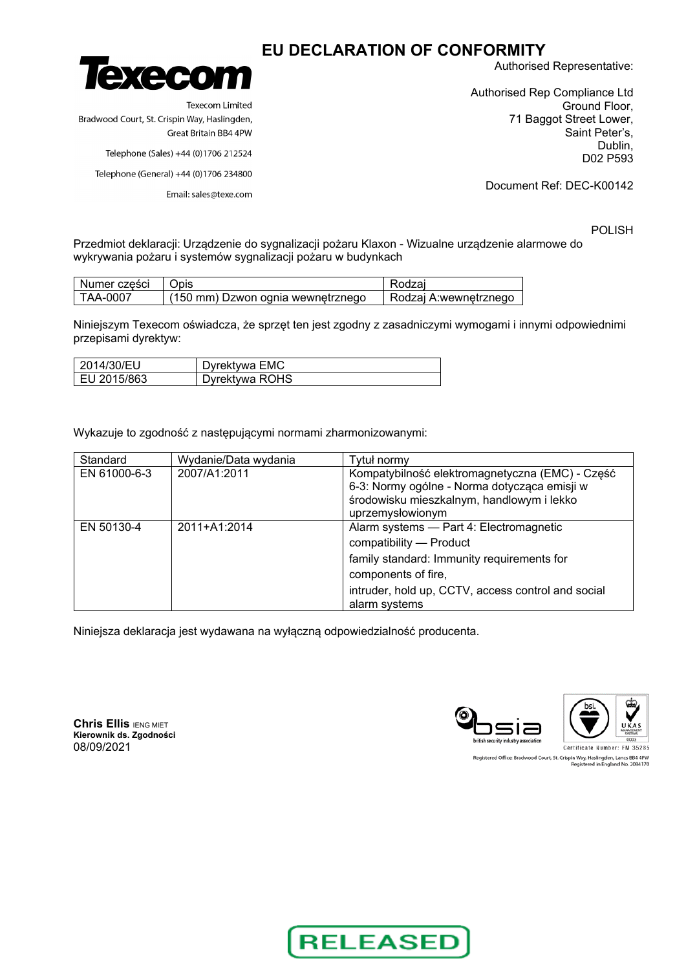

**Texecom Limited** Bradwood Court, St. Crispin Way, Haslingden, Great Britain BB4 4PW

Telephone (Sales) +44 (0)1706 212524

Telephone (General) +44 (0)1706 234800

Email: sales@texe.com

Authorised Representative:

Authorised Rep Compliance Ltd Ground Floor, 71 Baggot Street Lower, Saint Peter's, Dublin, D02 P593

Document Ref: DEC-K00142

POLISH

Przedmiot deklaracji: Urządzenie do sygnalizacji pożaru Klaxon - Wizualne urządzenie alarmowe do wykrywania pożaru i systemów sygnalizacji pożaru w budynkach

| Numer cześci | Jpis.                             | dzai                  |
|--------------|-----------------------------------|-----------------------|
| TAA-0007     | (150 mm) Dzwon ognia wewnetrznego | Rodzai A:wewnetrznego |

Niniejszym Texecom oświadcza, że sprzęt ten jest zgodny z zasadniczymi wymogami i innymi odpowiednimi przepisami dyrektyw:

| 2014/30/EU    | Dyrektywa EMC  |
|---------------|----------------|
| I EU 2015/863 | Dyrektywa ROHS |

Wykazuje to zgodność z następującymi normami zharmonizowanymi:

| Standard     | Wydanie/Data wydania | Tytuł normy                                                                                                                                                                                                    |
|--------------|----------------------|----------------------------------------------------------------------------------------------------------------------------------------------------------------------------------------------------------------|
| EN 61000-6-3 | 2007/A1:2011         | Kompatybilność elektromagnetyczna (EMC) - Część<br>6-3: Normy ogólne - Norma dotycząca emisji w<br>środowisku mieszkalnym, handlowym i lekko<br>uprzemysłowionym                                               |
| EN 50130-4   | 2011+A1:2014         | Alarm systems - Part 4: Electromagnetic<br>compatibility - Product<br>family standard: Immunity requirements for<br>components of fire,<br>intruder, hold up, CCTV, access control and social<br>alarm systems |

Niniejsza deklaracja jest wydawana na wyłączną odpowiedzialność producenta.

**Chris Ellis IENG MIET Kierownik ds. Zgodności** 08/09/2021



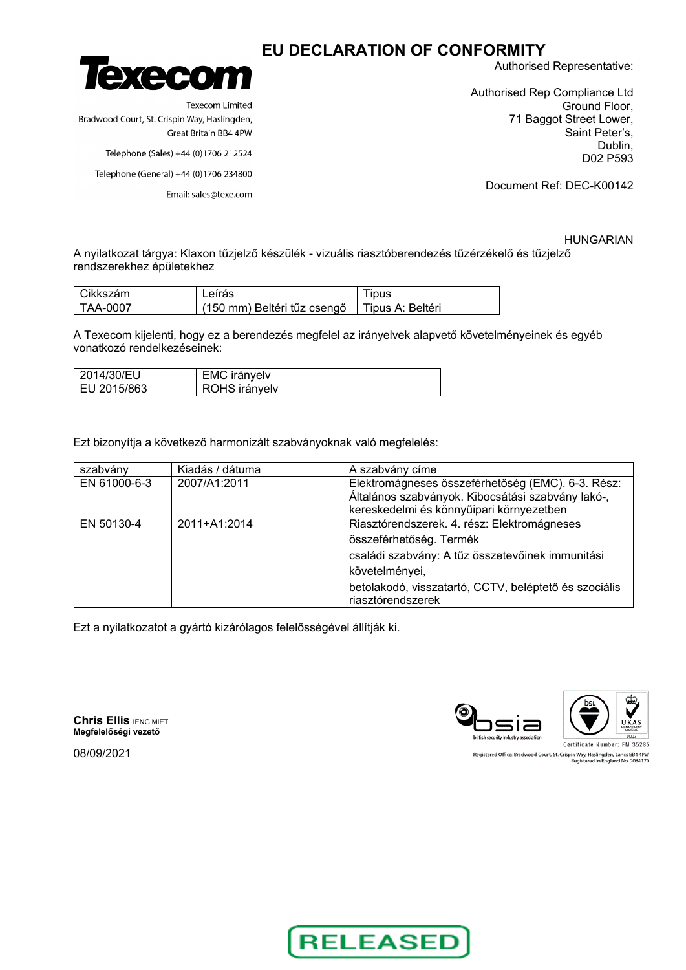

**Texecom Limited** Bradwood Court, St. Crispin Way, Haslingden, Great Britain BB4 4PW

Telephone (Sales) +44 (0)1706 212524

Telephone (General) +44 (0)1706 234800

Email: sales@texe.com

Authorised Representative:

Authorised Rep Compliance Ltd Ground Floor, 71 Baggot Street Lower, Saint Peter's, Dublin, D02 P593

Document Ref: DEC-K00142

HUNGARIAN

A nyilatkozat tárgya: Klaxon tűzjelző készülék - vizuális riasztóberendezés tűzérzékelő és tűzjelző rendszerekhez épületekhez

| Cikkszám | Leírás                                         | jpus |
|----------|------------------------------------------------|------|
| TAA-0007 | (150 mm) Beltéri tűz csengő   Tipus A: Beltéri |      |

A Texecom kijelenti, hogy ez a berendezés megfelel az irányelvek alapvető követelményeinek és egyéb vonatkozó rendelkezéseinek:

| 2014/30/EU  | EMC irányelv  |  |
|-------------|---------------|--|
| EU 2015/863 | ROHS irányelv |  |

Ezt bizonyítja a következő harmonizált szabványoknak való megfelelés:

| szabvány     | Kiadás / dátuma | A szabvány címe                                                                                                                                                                                                            |
|--------------|-----------------|----------------------------------------------------------------------------------------------------------------------------------------------------------------------------------------------------------------------------|
| EN 61000-6-3 | 2007/A1:2011    | Elektromágneses összeférhetőség (EMC). 6-3. Rész:<br>Általános szabványok. Kibocsátási szabvány lakó-,<br>kereskedelmi és könnyűipari környezetben                                                                         |
| EN 50130-4   | 2011+A1:2014    | Riasztórendszerek. 4. rész: Elektromágneses<br>összeférhetőség. Termék<br>családi szabvány: A tűz összetevőinek immunitási<br>követelményei,<br>betolakodó, visszatartó, CCTV, beléptető és szociális<br>riasztórendszerek |

Ezt a nyilatkozatot a gyártó kizárólagos felelősségével állítják ki.

**Chris Ellis** IENG MIET **Megfelelőségi vezető**

security industry ass Certificate Number: FM 35285

Registered Office: Bradwood Court, St. Crispin Way, Haslingden, Lancs BB4 4PW<br>Registered in England No. 2084170

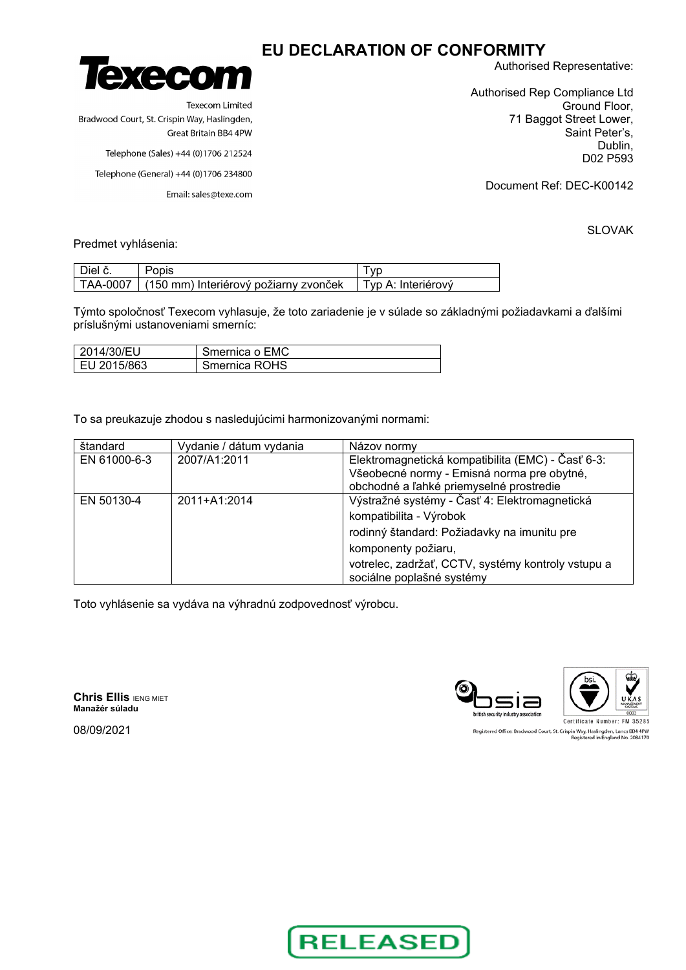

**Texecom Limited** Bradwood Court, St. Crispin Way, Haslingden, Great Britain BB4 4PW

Telephone (Sales) +44 (0)1706 212524

Telephone (General) +44 (0)1706 234800

Email: sales@texe.com

Authorised Representative:

Authorised Rep Compliance Ltd Ground Floor, 71 Baggot Street Lower, Saint Peter's, Dublin, D02 P593

Document Ref: DEC-K00142

SLOVAK

Predmet vyhlásenia:

| Diel č. | Popis                                            |                      |
|---------|--------------------------------------------------|----------------------|
|         | TAA-0007   (150 mm) Interiérový požiarny zvonček | ∣ Tvp A: Interiérový |

Týmto spoločnosť Texecom vyhlasuje, že toto zariadenie je v súlade so základnými požiadavkami a ďalšími príslušnými ustanoveniami smerníc:

| 2014/30/EU   | Smernica o EMC |
|--------------|----------------|
| ∣EU 2015/863 | Smernica ROHS  |

To sa preukazuje zhodou s nasledujúcimi harmonizovanými normami:

| štandard     | Vydanie / dátum vydania | Názov normy                                                                     |
|--------------|-------------------------|---------------------------------------------------------------------------------|
| EN 61000-6-3 | 2007/A1:2011            | Elektromagnetická kompatibilita (EMC) - Časť 6-3:                               |
|              |                         | Všeobecné normy - Emisná norma pre obytné,                                      |
|              |                         | obchodné a l'ahké priemyselné prostredie                                        |
| EN 50130-4   | 2011+A1:2014            | Výstražné systémy - Časť 4: Elektromagnetická                                   |
|              |                         | kompatibilita - Výrobok                                                         |
|              |                         | rodinný štandard: Požiadavky na imunitu pre                                     |
|              |                         | komponenty požiaru,                                                             |
|              |                         | votrelec, zadržať, CCTV, systémy kontroly vstupu a<br>sociálne poplašné systémy |

Toto vyhlásenie sa vydáva na výhradnú zodpovednosť výrobcu.

**Chris Ellis IENG MIET Manažér súladu**

08/09/2021





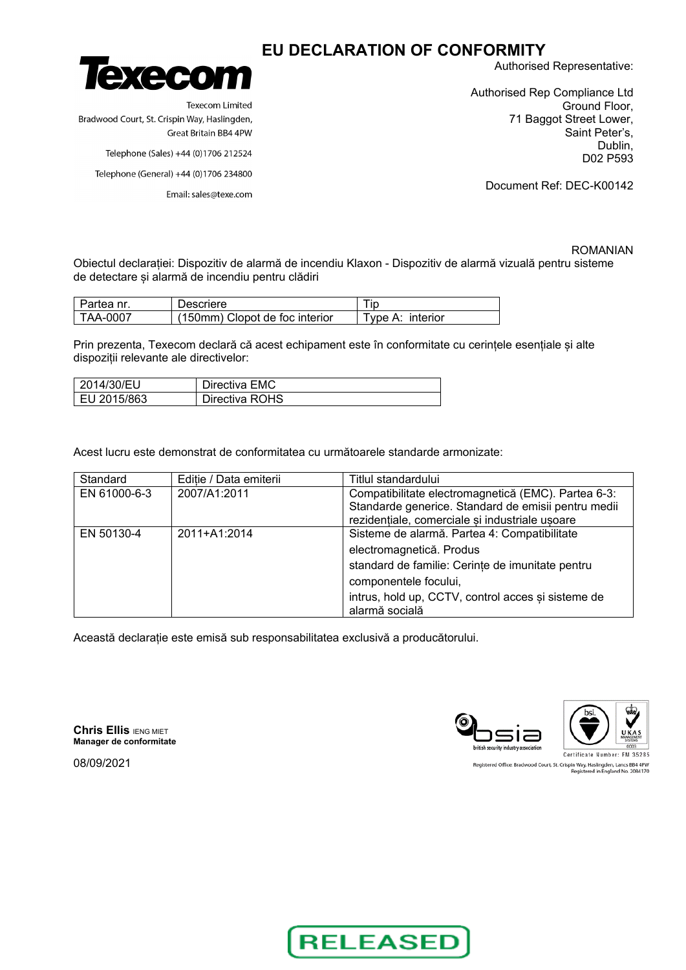

**Texecom Limited** Bradwood Court, St. Crispin Way, Haslingden, Great Britain BB4 4PW

Telephone (Sales) +44 (0)1706 212524

Telephone (General) +44 (0)1706 234800

Email: sales@texe.com

Authorised Representative:

Authorised Rep Compliance Ltd Ground Floor, 71 Baggot Street Lower, Saint Peter's, Dublin, D02 P593

Document Ref: DEC-K00142

#### ROMANIAN

Obiectul declarației: Dispozitiv de alarmă de incendiu Klaxon - Dispozitiv de alarmă vizuală pentru sisteme de detectare și alarmă de incendiu pentru clădiri

| Partea nr | Descriere                      |                  |
|-----------|--------------------------------|------------------|
| TAA-0007  | (150mm) Clopot de foc interior | Tvpe A: interior |

Prin prezenta, Texecom declară că acest echipament este în conformitate cu cerințele esențiale și alte dispoziții relevante ale directivelor:

| 2014/30/EU    | Directiva EMC  |
|---------------|----------------|
| l EU 2015/863 | Directiva ROHS |

Acest lucru este demonstrat de conformitatea cu următoarele standarde armonizate:

| Standard     | Editie / Data emiterii | Titlul standardului                                                                                                                                                                                                           |
|--------------|------------------------|-------------------------------------------------------------------------------------------------------------------------------------------------------------------------------------------------------------------------------|
| EN 61000-6-3 | 2007/A1:2011           | Compatibilitate electromagnetică (EMC). Partea 6-3:<br>Standarde generice. Standard de emisii pentru medii<br>rezidențiale, comerciale si industriale usoare                                                                  |
| EN 50130-4   | 2011+A1:2014           | Sisteme de alarmă. Partea 4: Compatibilitate<br>electromagnetică. Produs<br>standard de familie: Cerințe de imunitate pentru<br>componentele focului,<br>intrus, hold up, CCTV, control acces și sisteme de<br>alarmă socială |

Această declarație este emisă sub responsabilitatea exclusivă a producătorului.

**Chris Ellis IENG MIET Manager de conformitate**



Registered Office: Bradwood Court, St. Crispin Way, Haslingden, Lancs BB4 4PW<br>Registered in England No. 2084170

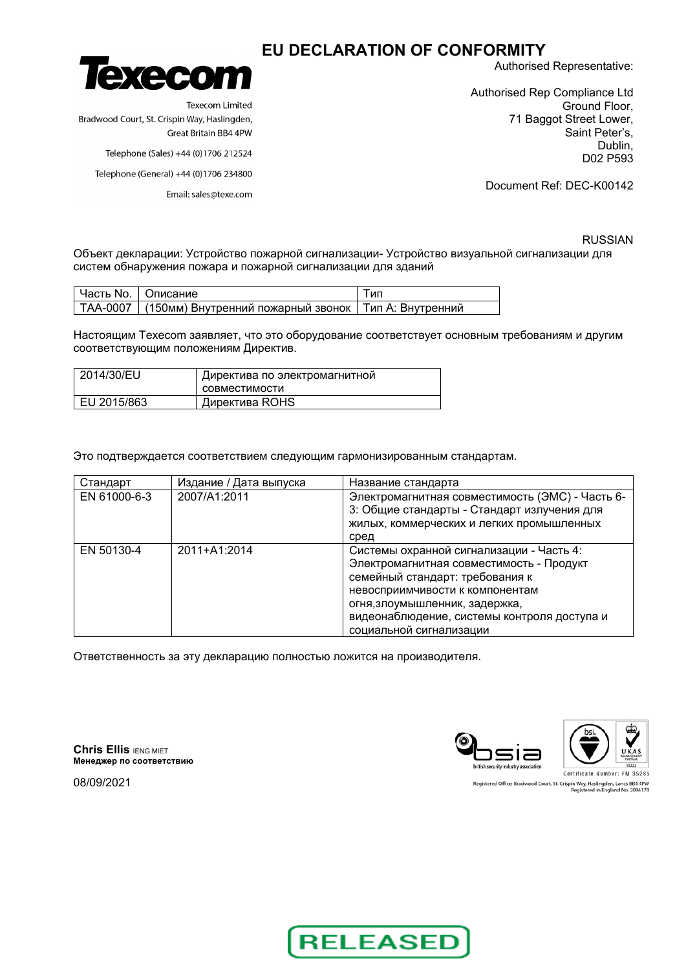

**Texecom Limited** Bradwood Court, St. Crispin Way, Haslingden, Great Britain BB4 4PW

Telephone (Sales) +44 (0)1706 212524

Telephone (General) +44 (0)1706 234800

Email: sales@texe.com

Authorised Representative:

Authorised Rep Compliance Ltd Ground Floor, 71 Baggot Street Lower, Saint Peter's, Dublin, D02 P593

Document Ref: DEC-K00142

RUSSIAN

Объект декларации: Устройство пожарной сигнализации- Устройство визуальной сигнализации для систем обнаружения пожара и пожарной сигнализации для зданий

| I Часть No. I Описание |                                                                   | ' ип |
|------------------------|-------------------------------------------------------------------|------|
|                        | ТАА-0007   (150мм) Внутренний пожарный звонок   Тип А: Внутренний |      |

Настоящим Texecom заявляет, что это оборудование соответствует основным требованиям и другим соответствующим положениям Директив.

| 2014/30/EU  | Директива по электромагнитной |  |
|-------------|-------------------------------|--|
|             | СОВМЕСТИМОСТИ                 |  |
| EU 2015/863 | Директива ROHS                |  |

Это подтверждается соответствием следующим гармонизированным стандартам.

| Стандарт     | Издание / Дата выпуска | Название стандарта                              |
|--------------|------------------------|-------------------------------------------------|
| EN 61000-6-3 | 2007/A1:2011           | Электромагнитная совместимость (ЭМС) - Часть 6- |
|              |                        | 3: Общие стандарты - Стандарт излучения для     |
|              |                        | жилых, коммерческих и легких промышленных       |
|              |                        | сред                                            |
| EN 50130-4   | 2011+A1:2014           | Системы охранной сигнализации - Часть 4:        |
|              |                        | Электромагнитная совместимость - Продукт        |
|              |                        | семейный стандарт: требования к                 |
|              |                        | невосприимчивости к компонентам                 |
|              |                        | огня, злоумышленник, задержка,                  |
|              |                        | видеонаблюдение, системы контроля доступа и     |
|              |                        | социальной сигнализации                         |

Ответственность за эту декларацию полностью ложится на производителя.

**Chris Ellis IENG MIET Mенеджер по соответствию**



Registered Office: Bradwood Court, St. Crispin Way, Haslingden, Lancs BB4 4PW<br>Registered in England No. 2084170

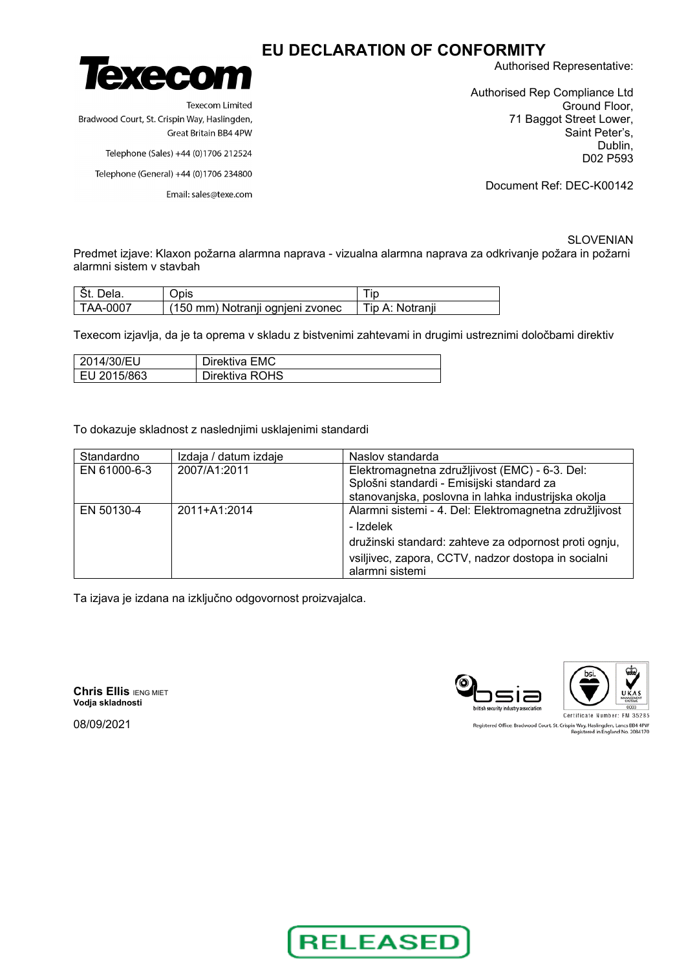

**Texecom Limited** Bradwood Court, St. Crispin Way, Haslingden, Great Britain BB4 4PW

Telephone (Sales) +44 (0)1706 212524

Telephone (General) +44 (0)1706 234800

Email: sales@texe.com

Authorised Representative:

Authorised Rep Compliance Ltd Ground Floor, 71 Baggot Street Lower, Saint Peter's, Dublin, D02 P593

Document Ref: DEC-K00142

SLOVENIAN Predmet izjave: Klaxon požarna alarmna naprava - vizualna alarmna naprava za odkrivanje požara in požarni alarmni sistem v stavbah

| Dela.      | Opis                             |                 |
|------------|----------------------------------|-----------------|
| l TAA-0007 | (150 mm) Notranji ognjeni zvonec | Tip A: Notranji |

Texecom izjavlja, da je ta oprema v skladu z bistvenimi zahtevami in drugimi ustreznimi določbami direktiv

| 2014/30/EU  | Direktiva EMC  |
|-------------|----------------|
| EU 2015/863 | Direktiva ROHS |

To dokazuje skladnost z naslednjimi usklajenimi standardi

| Standardno   | Izdaja / datum izdaje | Naslov standarda                                       |
|--------------|-----------------------|--------------------------------------------------------|
| EN 61000-6-3 | 2007/A1:2011          | Elektromagnetna združljivost (EMC) - 6-3. Del:         |
|              |                       | Splošni standardi - Emisijski standard za              |
|              |                       | stanovanjska, poslovna in lahka industrijska okolja    |
| EN 50130-4   | 2011+A1:2014          | Alarmni sistemi - 4. Del: Elektromagnetna združljivost |
|              |                       | - Izdelek                                              |
|              |                       | družinski standard: zahteve za odpornost proti ognju,  |
|              |                       | vsiljivec, zapora, CCTV, nadzor dostopa in socialni    |
|              |                       | alarmni sistemi                                        |

Ta izjava je izdana na izključno odgovornost proizvajalca.

**Chris Ellis IENG MIET Vodja skladnosti**

08/09/2021